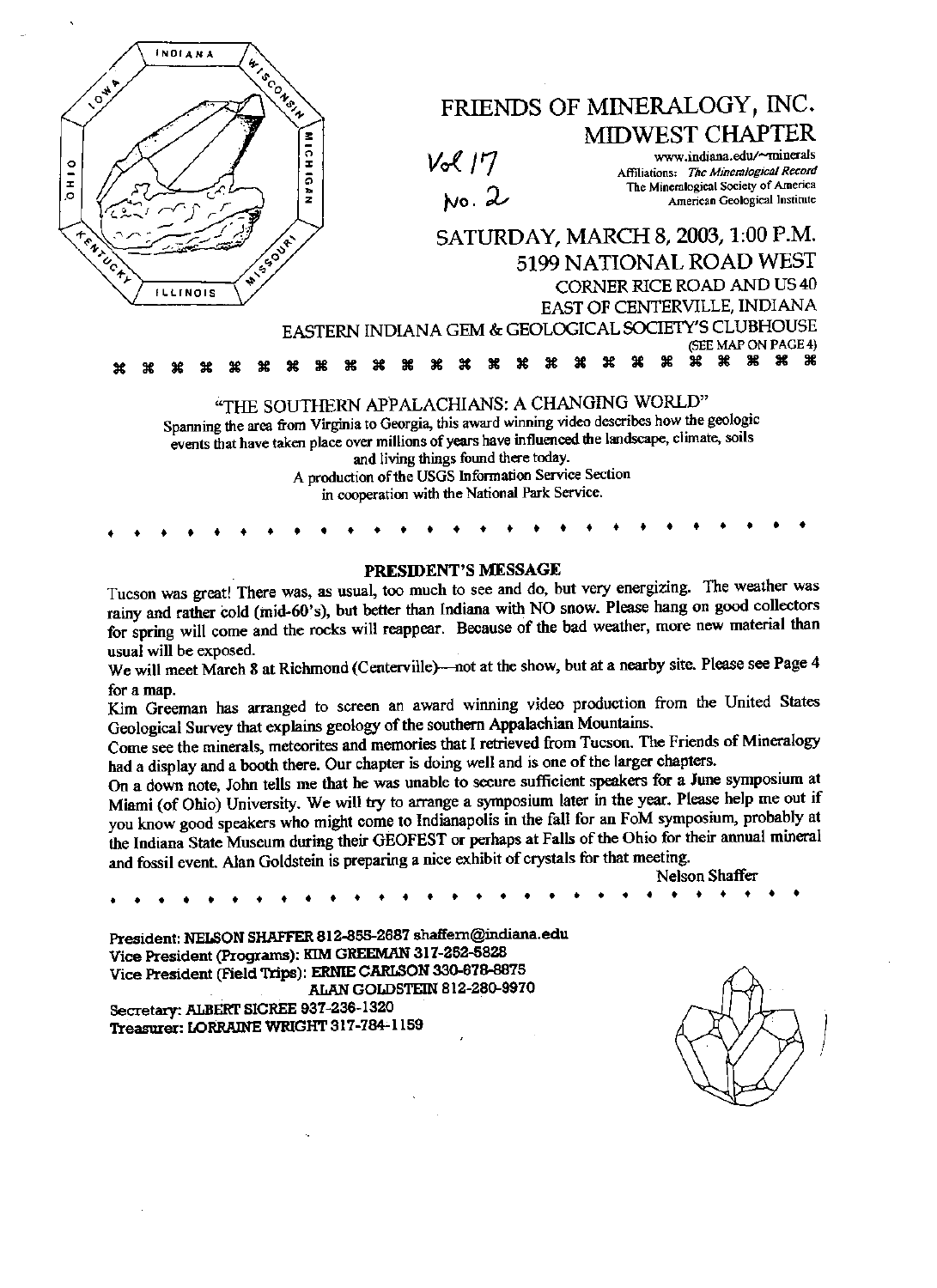

## PRESIDENT'S MESSAGE

Tucson was great! There was, as usual, too much to see and do, but very energizing. The weather was rainy and rather cold (mid-60's), but better than Indiana with NO snow. Please hang on good collectors for spring will come and the rocks will reappear. Because of the bad weather, more new material than usual will be exposed.

We will meet March 8 at Richmond (Centerville)—not at the show, but at a nearby site. Please see Page 4 for a map.

Kim Greeman has arranged to screen an award winning video preduction from the United States Geological Survey that explains geology of the southern Appalachian Mountains.

Come see the minerals, meteorites and memories that I retrieved from Tucson. The Friends of Mineralogy had a display and a booth there. Our chapter is doing well and is one of the larger chapters.

On a down note, John tells me that he was unable to seeure sufficient speakers for a June symposium at Miami (of Ohio) University. We will try to arange a symposium later in the year. Please help me out if you know good speakers who might come to Indianapolis in the fall for an FoM symposium, probably at the Indiana State Museum during their GEOFEST or perhaps at Falls of the Ohio for their armual mmeral and fossil event. Alan Goldstein is preparing a nice exhibit of crystals for that meeting. who might come to Indianapolis in the fall for an FOM symposium, probably at<br>
a during their GEOFEST or perhaps at Falls of the Ohio for their annual mineral<br>
dstein is preparing a nice exhibit of crystals for that meetin

Nelson Shaffer

President: NELSON SHAFFER 812-855-2687 shaffem@indiana.edu Vice President (Programs): KIM GREEMAN 317-252-5828 Vice President (Field Trips) : ERNIE CARISON 330-678-8875 AIIAN GOLDSTEIN 812-280-9970 Secretary: ALBERT SICREE 937-236-1320

Treasurer: LORRAINE WRIGHT 317-784-1159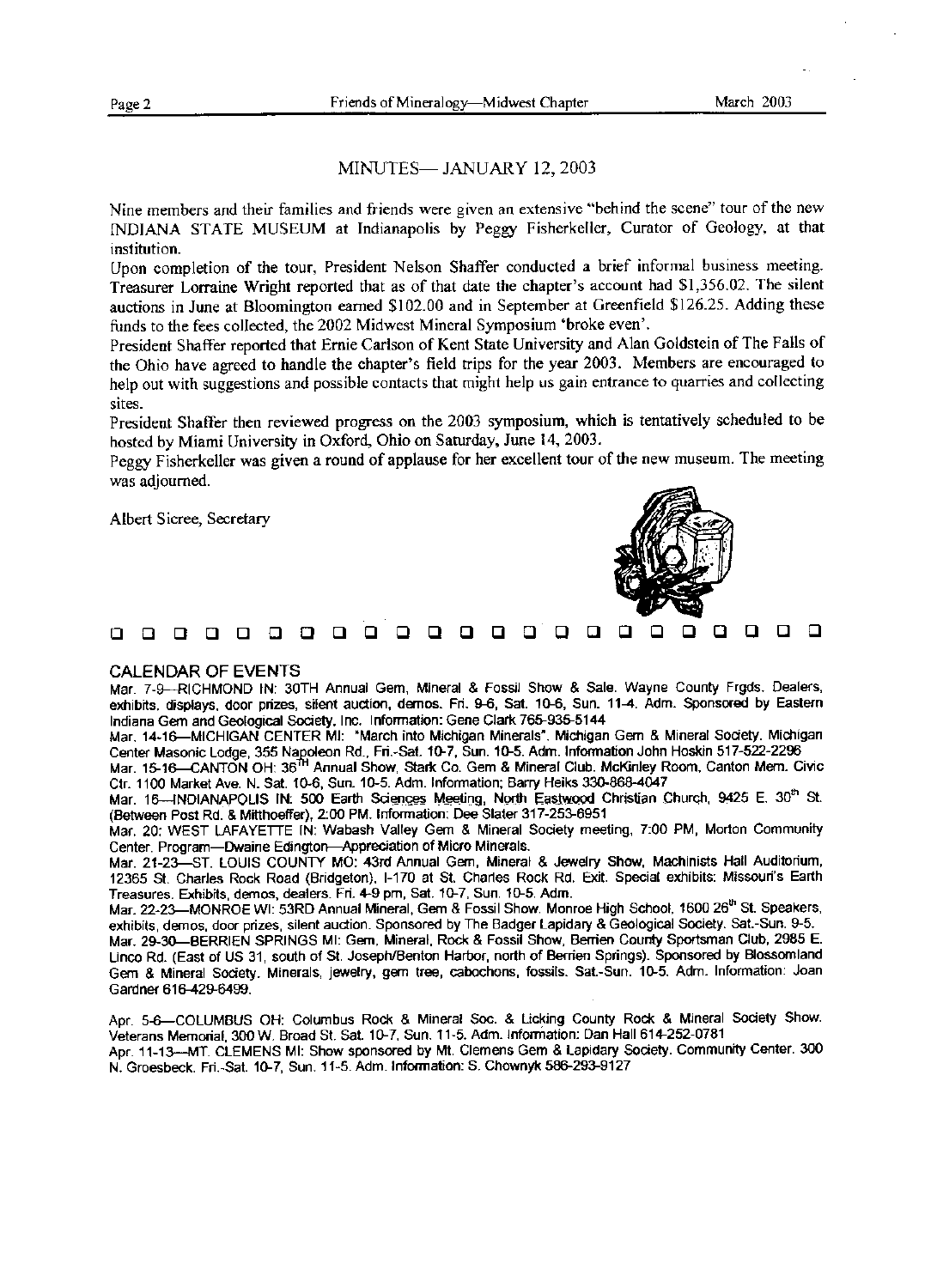## MINUTES-JANUARY 12, 2003

Nine members and their families and friends were given an extensive "behind the scene" tour of the new INDIANA STATE MUSEUM at Indianapolis by Peggy Fisherkeller, Curator of Geology, at that institution.

Upon completion of the tour, President Nelson Shaffer conducted a brief informal business meeting. Treasurer Lorraine Wright reported that as of that date the chapter's account had \$1,356.02. The silent auctions in June at Bloomington earned \$102.00 and in September at Greenfield \$126.25. Adding these funds to the fees collected, the 2002 Midwest Mineral Symposium 'broke even'.

President Shaffer reported that Emie Carlson of Kent State University and Alan Goldstein of The Falls of the Ohio have agreed to handle the chapter's field trips for the year 2003. Members are encouraged to help out with suggestions and possible contacts that might help us gain entrance to quarries and collecting sites.

President Shaffer then reviewed progress on the 2003 symposium, which is tentatively scheduled to be hosted by Miami University in Oxford, Ohio on Saturday, June 14, 2003.

Peggy Fisherkeller was given a round of applause for her excellent tour of the new museum. The meeting was adjourned.

Albert Sicree, Seeretary



DDDDDDDDDDDDDDDBDBDDDDD

## CALENDAR OF EVENTS

Mar. 7-9---RICHMOND IN: 30TH Annual Gem, Mineral & Fossil Show & Sale. Wayne County Frgds. Dealers, exhibits, displays, door prizes, silent auction, demos. Fri. 9€, Sat. 10-6, Sun. 114. Adm. Sponsored by Eastern Indiana Gem and Geological Society, Inc. Information: Gene Clark 765-935-5144

Mar. 14-16-MICHIGAN CENTER Ml: "March into Michigan Minerals". Michigan Gem & Mineral Society. Michigan Center Masonic Lodge, 355 Napoleon Rd., Fri.-Sat. 10-7, Sun. 10-5. Adm. Information John Hoskin 517-522-2296<br>Mar. 15-16—CANTON OH: 36<sup>th</sup> Annual Show, Stark Co. Gem & Mineral Club. McKinley Room, Canton Mem. Civic

Ctr.1100 Market Ave. N. Sat.10-6, Sun.10-5. Adm. Information; Barry Heiks 330-868-4047

Mar. 16--INDIANAPOLIS IN: 500 Earth Sciences Meeting, North Eastwood Christian Church, 9425 E. 30<sup>th</sup> St. (Between Post Rd. & Mitthoeffer), 2:00 PM. Information: Dee Slater 317-253-6951

Mar. 20: WEST LAFAYETTE IN: Wabash Valley Gem & Mineral Society meeting, 7:00 PM, Morton Community Center. Program-Dwaine Edington-Appreciation of Micro Minerals.

Mar. 21-23-ST. LOUIS COUNTY MO: 43rd Annual Gem, Mineral & Jewelry Show, Machinists Hall Auditorium, 12365 St. Charles Rock Road (Bridgeton), I-170 at St. Charies Rock Rd. Exit. Special exhibits: Missouri's Earth Treasures. Exhibits, demos, dealers. Fri. 4-9 pin, Sat.10-7, Sun.10-5. Adm.

Mar. 22-23-MONROE WI: 53RD Annual Mineral, Gem & Fossil Show. Monroe High School, 1600 26th St. Speakers, exhibits, demos, door prizes, silent auction. Sponsored by The Badger Lapidary & Geological Scoiety. Sat.-Sun. 9-5.

Mar. 29-30-BERRIEN SPRINGS Ml: Gem, Mineral, Rock & Fossil Show, Berrien County Sportsman Club, 2985 E. Linco Rd. (East Of US 31, south of St. Joseph/Benton Harbor, north of Berrien Springs). Sponsored by Blossomland Gem & Mineral Society. Minerals, jewelry, gem tree, cabochons, fossils. Sat.-Sun. 10-5. Adm. Information: Joan Gardner 616-429-6499.

Apr. 5-6-COLUMBUS OH: Columbus Rock & Mineral Soc. & Licking County Rock & Mineral Society Show. Veterans Memorial, 300 W. Broad St. Sat.10-7, Sun.11-5. Adm. Information: Dan Hall 614-252-0781 Apr.11-13-MT. CLEMENS MI: Show sponsored by Mt. Clemens Gem & Lapidary Society. Communfty Center. 300

N. Groesbeek. Fri.-Sat.10-7, Sun.11-5. Adm. Information: S. Chownyk 586-293-9127